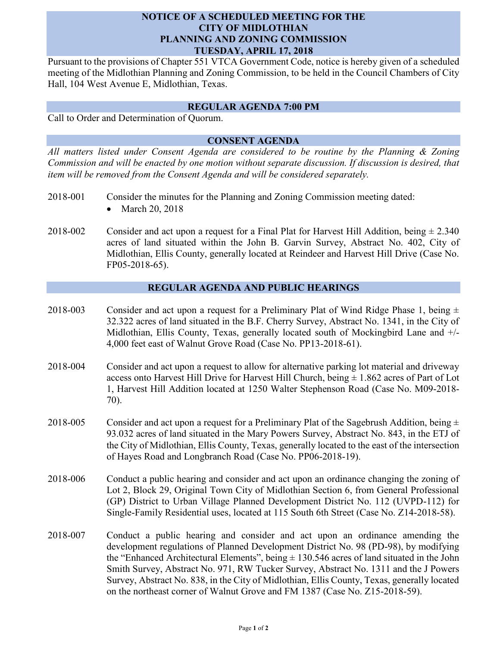## **NOTICE OF A SCHEDULED MEETING FOR THE CITY OF MIDLOTHIAN PLANNING AND ZONING COMMISSION TUESDAY, APRIL 17, 2018**

Pursuant to the provisions of Chapter 551 VTCA Government Code, notice is hereby given of a scheduled meeting of the Midlothian Planning and Zoning Commission, to be held in the Council Chambers of City Hall, 104 West Avenue E, Midlothian, Texas.

### **REGULAR AGENDA 7:00 PM**

Call to Order and Determination of Quorum.

# **CONSENT AGENDA**

*All matters listed under Consent Agenda are considered to be routine by the Planning & Zoning Commission and will be enacted by one motion without separate discussion. If discussion is desired, that item will be removed from the Consent Agenda and will be considered separately.*

- 2018-001 Consider the minutes for the Planning and Zoning Commission meeting dated:
	- March 20, 2018
- 2018-002 Consider and act upon a request for a Final Plat for Harvest Hill Addition, being  $\pm 2.340$ acres of land situated within the John B. Garvin Survey, Abstract No. 402, City of Midlothian, Ellis County, generally located at Reindeer and Harvest Hill Drive (Case No. FP05-2018-65).

## **REGULAR AGENDA AND PUBLIC HEARINGS**

- 2018-003 Consider and act upon a request for a Preliminary Plat of Wind Ridge Phase 1, being  $\pm$ 32.322 acres of land situated in the B.F. Cherry Survey, Abstract No. 1341, in the City of Midlothian, Ellis County, Texas, generally located south of Mockingbird Lane and +/- 4,000 feet east of Walnut Grove Road (Case No. PP13-2018-61).
- 2018-004 Consider and act upon a request to allow for alternative parking lot material and driveway access onto Harvest Hill Drive for Harvest Hill Church, being  $\pm$  1.862 acres of Part of Lot 1, Harvest Hill Addition located at 1250 Walter Stephenson Road (Case No. M09-2018- 70).
- 2018-005 Consider and act upon a request for a Preliminary Plat of the Sagebrush Addition, being  $\pm$ 93.032 acres of land situated in the Mary Powers Survey, Abstract No. 843, in the ETJ of the City of Midlothian, Ellis County, Texas, generally located to the east of the intersection of Hayes Road and Longbranch Road (Case No. PP06-2018-19).
- 2018-006 Conduct a public hearing and consider and act upon an ordinance changing the zoning of Lot 2, Block 29, Original Town City of Midlothian Section 6, from General Professional (GP) District to Urban Village Planned Development District No. 112 (UVPD-112) for Single-Family Residential uses, located at 115 South 6th Street (Case No. Z14-2018-58).
- 2018-007 Conduct a public hearing and consider and act upon an ordinance amending the development regulations of Planned Development District No. 98 (PD-98), by modifying the "Enhanced Architectural Elements", being  $\pm$  130.546 acres of land situated in the John Smith Survey, Abstract No. 971, RW Tucker Survey, Abstract No. 1311 and the J Powers Survey, Abstract No. 838, in the City of Midlothian, Ellis County, Texas, generally located on the northeast corner of Walnut Grove and FM 1387 (Case No. Z15-2018-59).